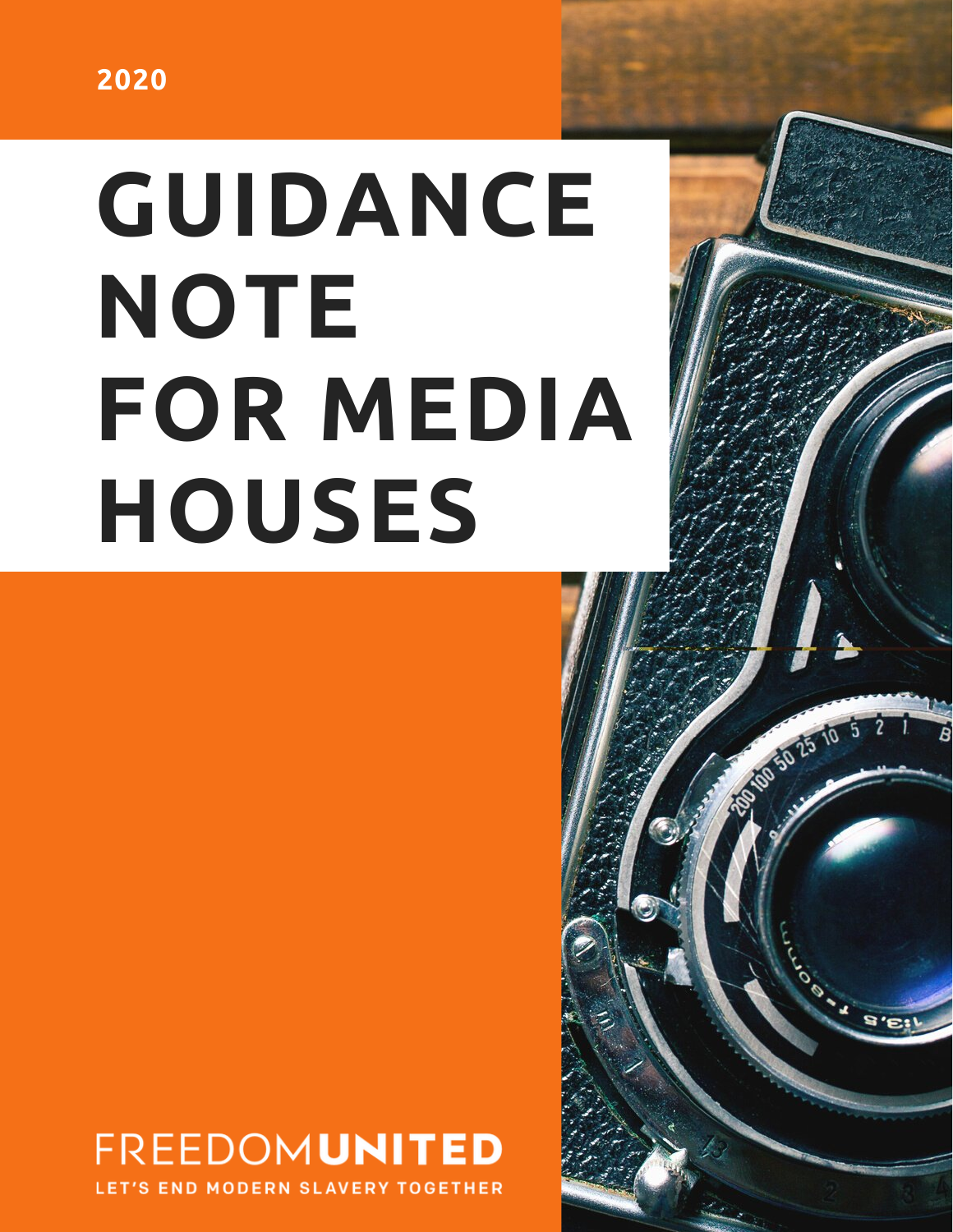# **GUIDANCE NOTE FOR MEDIA HOUSES**

100 50 25 10 5 2 1

 $\mathbf{s}$ ,  $\mathbf{s}$ 

## **FREEDOMUNITED**

**END MODERN SLAVERY TOGETHER**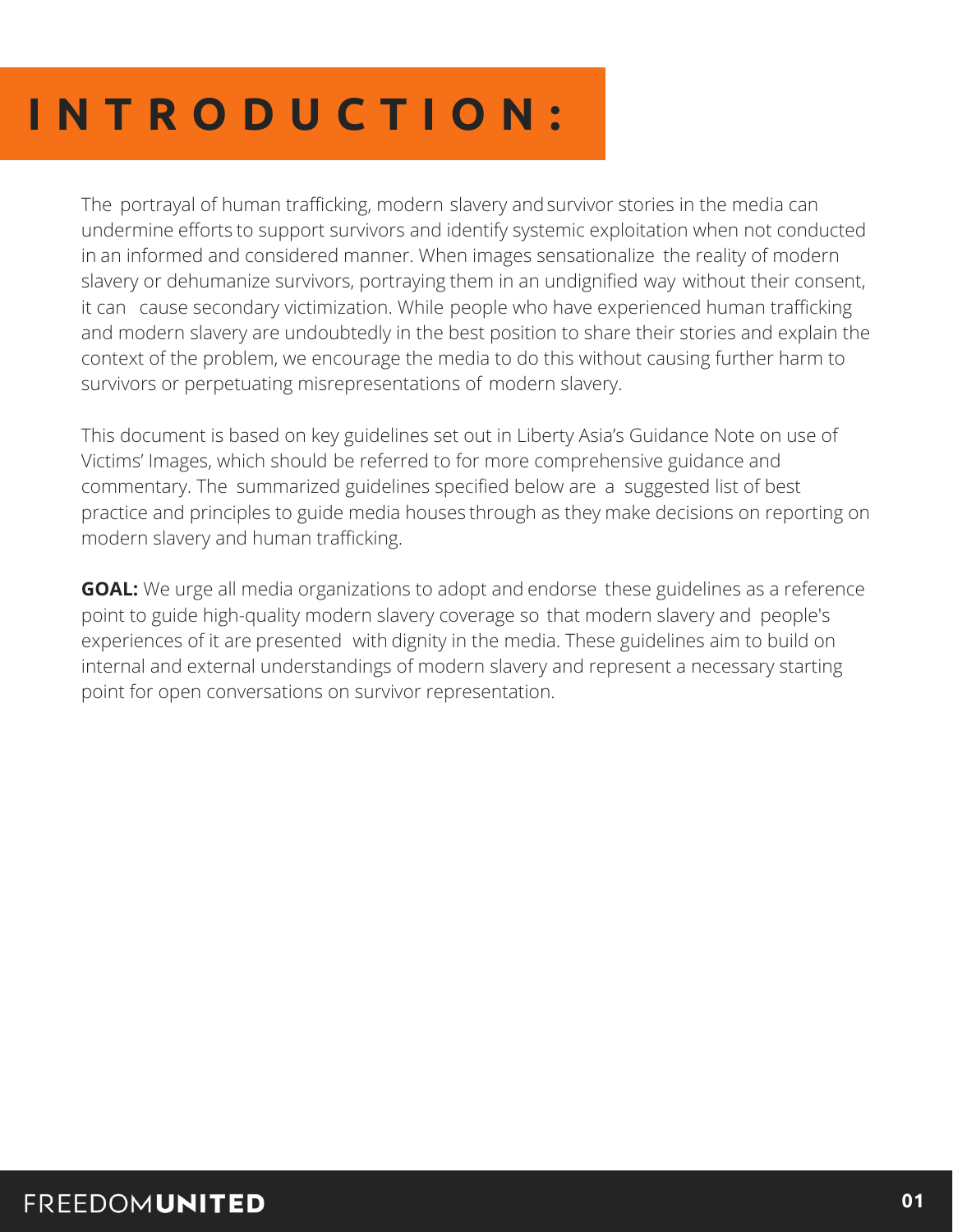### **I N T R O D U C T I O N :**

The portrayal of human trafficking, modern slavery and survivor stories in the media can undermine efforts to support survivors and identify systemic exploitation when not conducted in an informed and considered manner. When images sensationalize the reality of modern slavery or dehumanize survivors, portraying them in an undignified way without their consent, it can cause secondary victimization. While people who have experienced human trafficking and modern slavery are undoubtedly in the best position to share their stories and explain the context of the problem, we encourage the media to do this without causing further harm to survivors or perpetuating misrepresentations of modern slavery.

This document is based on key guidelines set out in Liberty Asia's Guidance Note on use of Victims' Images, which should be referred to for more comprehensive guidance and commentary. The summarized guidelines specified below are a suggested list of best practice and principles to guide media houses through as they make decisions on reporting on modern slavery and human trafficking.

**GOAL:** We urge all media organizations to adopt and endorse these guidelines as a reference point to guide high-quality modern slavery coverage so that modern slavery and people's experiences of it are presented with dignity in the media. These guidelines aim to build on internal and external understandings of modern slavery and represent a necessary starting point for open conversations on survivor representation.

#### **FREEDOMUNITED**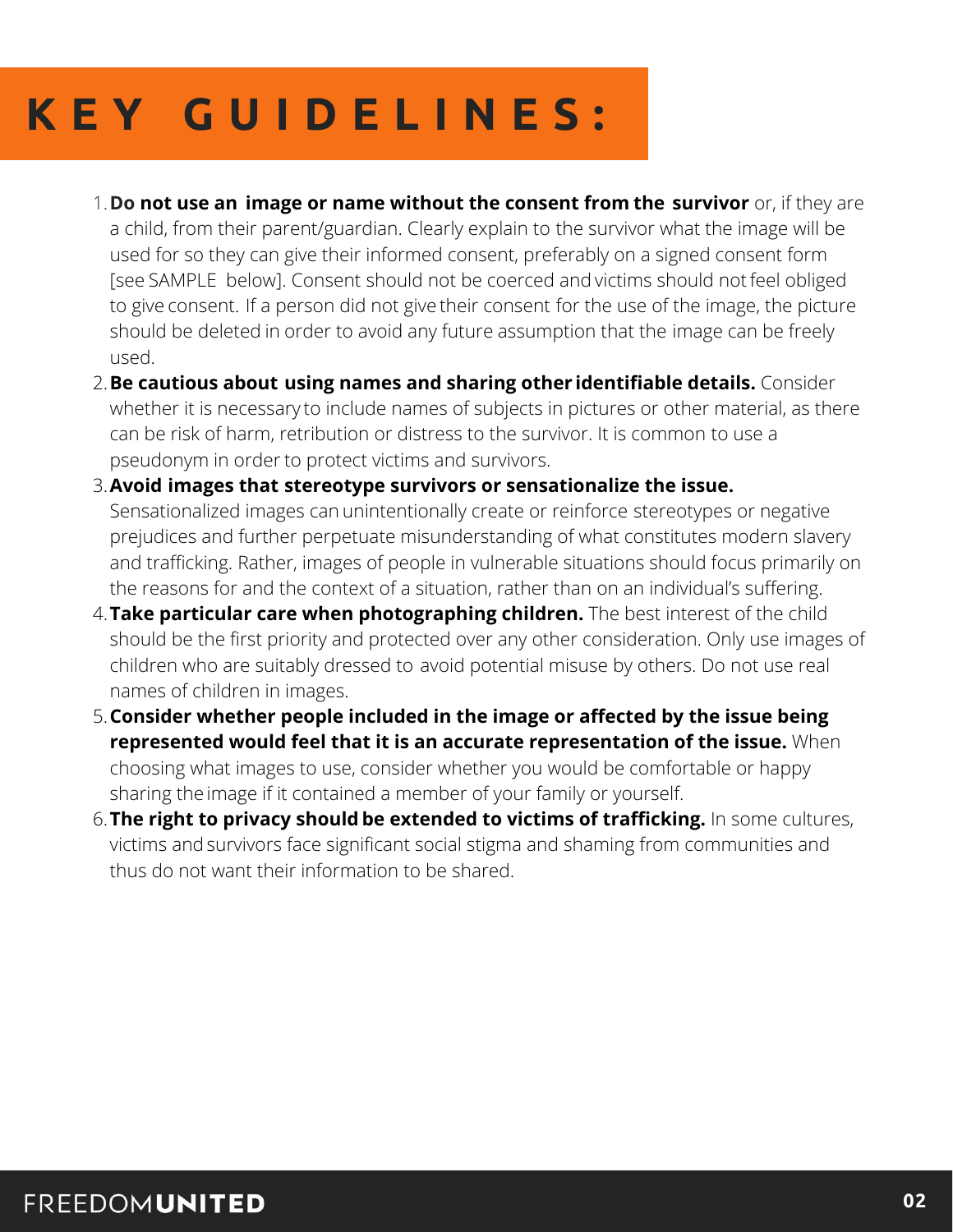### **K E Y G U I D E L I N E S :**

- **Do not use an image or name without the consent from the survivor** or, if they are 1. a child, from their parent/guardian. Clearly explain to the survivor what the image will be used for so they can give their informed consent, preferably on a signed consent form [see SAMPLE below]. Consent should not be coerced and victims should not feel obliged to give consent. If a person did not give their consent for the use of the image, the picture should be deleted in order to avoid any future assumption that the image can be freely used.
- **Be cautious about using names and sharing other identifiable details.** Consider 2. whether it is necessary to include names of subjects in pictures or other material, as there can be risk of harm, retribution or distress to the survivor. It is common to use a pseudonym in order to protect victims and survivors.
- **Avoid images that stereotype survivors or sensationalize the issue.** 3. Sensationalized images can unintentionally create or reinforce stereotypes or negative prejudices and further perpetuate misunderstanding of what constitutes modern slavery and trafficking. Rather, images of people in vulnerable situations should focus primarily on the reasons for and the context of a situation, rather than on an individual's suffering.
- **Take particular care when photographing children.** The best interest of the child 4. should be the first priority and protected over any other consideration. Only use images of children who are suitably dressed to avoid potential misuse by others. Do not use real names of children in images.
- **Consider whether people included in the image or affected by the issue being** 5. **represented would feel that it is an accurate representation of the issue.** When choosing what images to use, consider whether you would be comfortable or happy sharing the image if it contained a member of your family or yourself.
- **The right to privacy should be extended to victims of trafficking.** In some cultures, 6.victims and survivors face significant social stigma and shaming from communities and thus do not want their information to be shared.